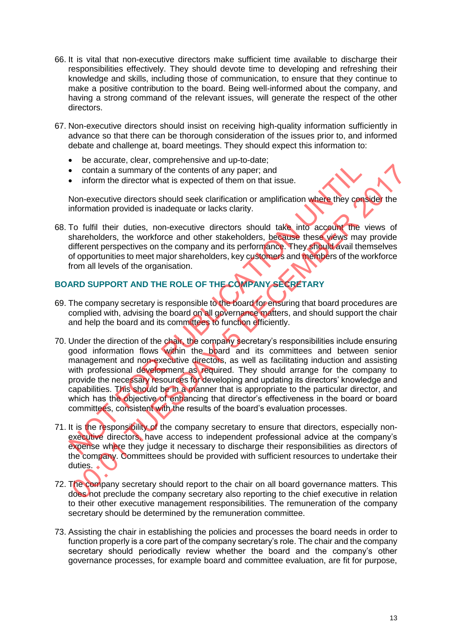- 66. It is vital that non-executive directors make sufficient time available to discharge their responsibilities effectively. They should devote time to developing and refreshing their knowledge and skills, including those of communication, to ensure that they continue to make a positive contribution to the board. Being well-informed about the company, and having a strong command of the relevant issues, will generate the respect of the other directors.
- 67. Non-executive directors should insist on receiving high-quality information sufficiently in advance so that there can be thorough consideration of the issues prior to, and informed debate and challenge at, board meetings. They should expect this information to:
	- be accurate, clear, comprehensive and up-to-date;
	- contain a summary of the contents of any paper; and
	- inform the director what is expected of them on that issue.

Non-executive directors should seek clarification or amplification where they consider the information provided is inadequate or lacks clarity.

68. To fulfil their duties, non-executive directors should take into account the views of shareholders, the workforce and other stakeholders, because these views may provide different perspectives on the company and its performance. They should avail themselves of opportunities to meet major shareholders, key customers and members of the workforce from all levels of the organisation.

## **BOARD SUPPORT AND THE ROLE OF THE COMPANY SECRETARY**

- 69. The company secretary is responsible to the board for ensuring that board procedures are complied with, advising the board on all governance matters, and should support the chair and help the board and its committees to function efficiently.
- 70. Under the direction of the chair, the company secretary's responsibilities include ensuring good information flows within the board and its committees and between senior management and non-executive directors, as well as facilitating induction and assisting with professional development as required. They should arrange for the company to provide the necessary resources for developing and updating its directors' knowledge and capabilities. This should be in a manner that is appropriate to the particular director, and which has the objective of enhancing that director's effectiveness in the board or board committees, consistent with the results of the board's evaluation processes.
- 71. It is the responsibility of the company secretary to ensure that directors, especially nonexecutive directors, have access to independent professional advice at the company's expense where they judge it necessary to discharge their responsibilities as directors of the company. Committees should be provided with sufficient resources to undertake their duties.
- 72. The company secretary should report to the chair on all board governance matters. This does not preclude the company secretary also reporting to the chief executive in relation to their other executive management responsibilities. The remuneration of the company secretary should be determined by the remuneration committee.
- 73. Assisting the chair in establishing the policies and processes the board needs in order to function properly is a core part of the company secretary's role. The chair and the company secretary should periodically review whether the board and the company's other governance processes, for example board and committee evaluation, are fit for purpose,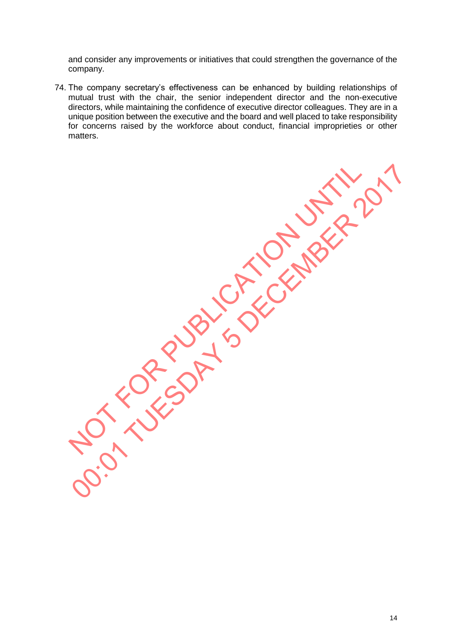and consider any improvements or initiatives that could strengthen the governance of the company.

74. The company secretary's effectiveness can be enhanced by building relationships of mutual trust with the chair, the senior independent director and the non-executive directors, while maintaining the confidence of executive director colleagues. They are in a unique position between the executive and the board and well placed to take responsibility for concerns raised by the workforce about conduct, financial improprieties or other matters.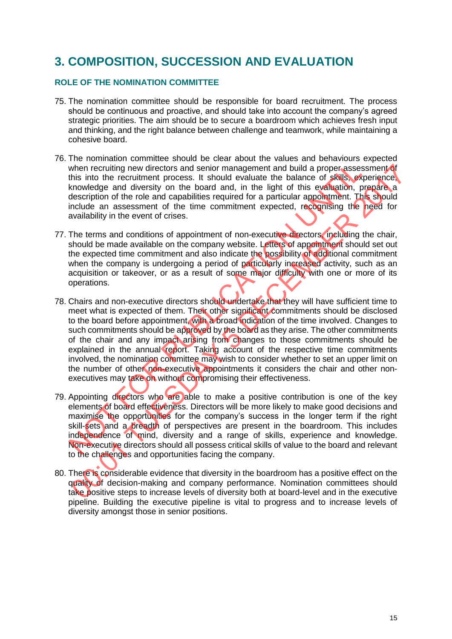## **3. COMPOSITION, SUCCESSION AND EVALUATION**

## **ROLE OF THE NOMINATION COMMITTEE**

- 75. The nomination committee should be responsible for board recruitment. The process should be continuous and proactive, and should take into account the company's agreed strategic priorities. The aim should be to secure a boardroom which achieves fresh input and thinking, and the right balance between challenge and teamwork, while maintaining a cohesive board.
- 76. The nomination committee should be clear about the values and behaviours expected when recruiting new directors and senior management and build a proper assessment of this into the recruitment process. It should evaluate the balance of skills, experience, knowledge and diversity on the board and, in the light of this evaluation, prepare a description of the role and capabilities required for a particular appointment. This should include an assessment of the time commitment expected, recognising the need for availability in the event of crises.
- 77. The terms and conditions of appointment of non-executive directors, including the chair, should be made available on the company website. Letters of appointment should set out the expected time commitment and also indicate the possibility of additional commitment when the company is undergoing a period of particularly increased activity, such as an acquisition or takeover, or as a result of some major difficulty with one or more of its operations.
- 78. Chairs and non-executive directors should undertake that they will have sufficient time to meet what is expected of them. Their other significant commitments should be disclosed to the board before appointment, with a broad indication of the time involved. Changes to such commitments should be approved by the board as they arise. The other commitments of the chair and any impact arising from changes to those commitments should be explained in the annual report. Taking account of the respective time commitments involved, the nomination committee may wish to consider whether to set an upper limit on the number of other non-executive appointments it considers the chair and other nonexecutives may take on without compromising their effectiveness.
- 79. Appointing directors who are able to make a positive contribution is one of the key elements of board effectiveness. Directors will be more likely to make good decisions and maximise the opportunities for the company's success in the longer term if the right skill-sets and a breadth of perspectives are present in the boardroom. This includes independence of mind, diversity and a range of skills, experience and knowledge. Non-executive directors should all possess critical skills of value to the board and relevant to the challenges and opportunities facing the company.
- 80. There is considerable evidence that diversity in the boardroom has a positive effect on the quality of decision-making and company performance. Nomination committees should take positive steps to increase levels of diversity both at board-level and in the executive pipeline. Building the executive pipeline is vital to progress and to increase levels of diversity amongst those in senior positions.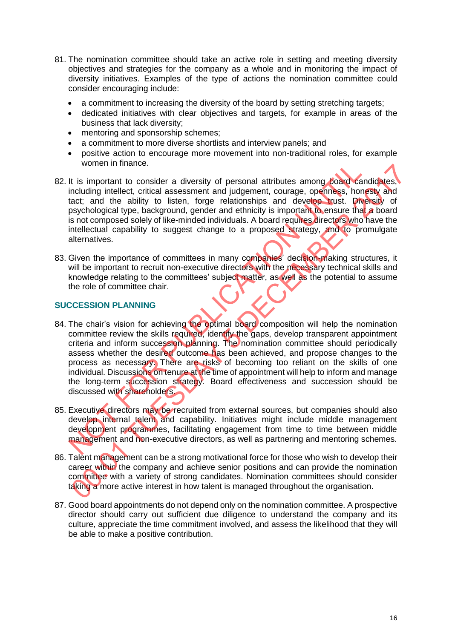- 81. The nomination committee should take an active role in setting and meeting diversity objectives and strategies for the company as a whole and in monitoring the impact of diversity initiatives. Examples of the type of actions the nomination committee could consider encouraging include:
	- a commitment to increasing the diversity of the board by setting stretching targets;
	- dedicated initiatives with clear objectives and targets, for example in areas of the business that lack diversity;
	- mentoring and sponsorship schemes;
	- a commitment to more diverse shortlists and interview panels; and
	- positive action to encourage more movement into non-traditional roles, for example women in finance.
- 82. It is important to consider a diversity of personal attributes among board candidates, including intellect, critical assessment and judgement, courage, openness, honesty and tact; and the ability to listen, forge relationships and develop trust. Diversity of psychological type, background, gender and ethnicity is important to ensure that a board is not composed solely of like-minded individuals. A board requires directors who have the intellectual capability to suggest change to a proposed strategy, and to promulgate alternatives.
- 83. Given the importance of committees in many companies' decision-making structures, it will be important to recruit non-executive directors with the necessary technical skills and knowledge relating to the committees' subject matter, as well as the potential to assume the role of committee chair.

### **SUCCESSION PLANNING**

- 84. The chair's vision for achieving the optimal board composition will help the nomination committee review the skills required, identify the gaps, develop transparent appointment criteria and inform succession planning. The nomination committee should periodically assess whether the desired outcome has been achieved, and propose changes to the process as necessary. There are risks of becoming too reliant on the skills of one individual. Discussions on tenure at the time of appointment will help to inform and manage the long-term succession strategy. Board effectiveness and succession should be discussed with shareholders.
- 85. Executive directors may be recruited from external sources, but companies should also develop internal talent and capability. Initiatives might include middle management development programmes, facilitating engagement from time to time between middle management and non-executive directors, as well as partnering and mentoring schemes.
- 86. Talent management can be a strong motivational force for those who wish to develop their career within the company and achieve senior positions and can provide the nomination committee with a variety of strong candidates. Nomination committees should consider taking a more active interest in how talent is managed throughout the organisation.
- 87. Good board appointments do not depend only on the nomination committee. A prospective director should carry out sufficient due diligence to understand the company and its culture, appreciate the time commitment involved, and assess the likelihood that they will be able to make a positive contribution.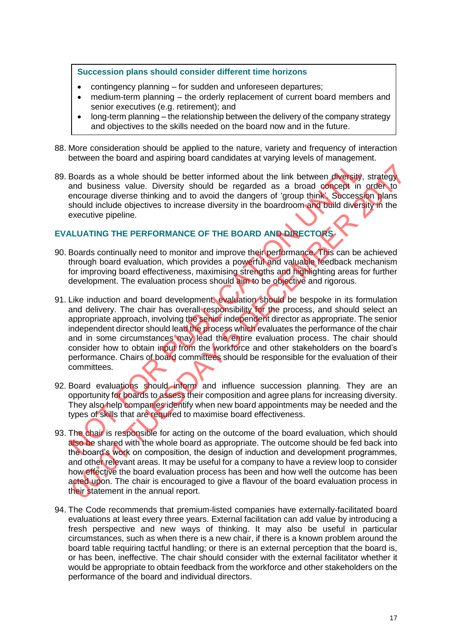### **Succession plans should consider different time horizons**

- contingency planning for sudden and unforeseen departures;
- medium-term planning the orderly replacement of current board members and senior executives (e.g. retirement); and
- long-term planning the relationship between the delivery of the company strategy and objectives to the skills needed on the board now and in the future.
- 88. More consideration should be applied to the nature, variety and frequency of interaction between the board and aspiring board candidates at varying levels of management.
- 89. Boards as a whole should be better informed about the link between diversity, strategy and business value. Diversity should be regarded as a broad concept in order to encourage diverse thinking and to avoid the dangers of 'group think'. Succession plans should include objectives to increase diversity in the boardroom and build diversity in the executive pipeline.

## **EVALUATING THE PERFORMANCE OF THE BOARD AND DIRECTORS**

- 90. Boards continually need to monitor and improve their performance. This can be achieved through board evaluation, which provides a powerful and valuable feedback mechanism for improving board effectiveness, maximising strengths and highlighting areas for further development. The evaluation process should aim to be objective and rigorous.
- 91. Like induction and board development, evaluation should be bespoke in its formulation and delivery. The chair has overall responsibility for the process, and should select an appropriate approach, involving the senior independent director as appropriate. The senior independent director should lead the process which evaluates the performance of the chair and in some circumstances may lead the entire evaluation process. The chair should consider how to obtain input from the workforce and other stakeholders on the board's performance. Chairs of board committees should be responsible for the evaluation of their committees.
- 92. Board evaluations should inform and influence succession planning. They are an opportunity for boards to assess their composition and agree plans for increasing diversity. They also help companies identify when new board appointments may be needed and the types of skills that are required to maximise board effectiveness.
- 93. The chair is responsible for acting on the outcome of the board evaluation, which should also be shared with the whole board as appropriate. The outcome should be fed back into the board's work on composition, the design of induction and development programmes, and other relevant areas. It may be useful for a company to have a review loop to consider how effective the board evaluation process has been and how well the outcome has been acted upon. The chair is encouraged to give a flavour of the board evaluation process in their statement in the annual report.
- 94. The Code recommends that premium-listed companies have externally-facilitated board evaluations at least every three years. External facilitation can add value by introducing a fresh perspective and new ways of thinking. It may also be useful in particular circumstances, such as when there is a new chair, if there is a known problem around the board table requiring tactful handling; or there is an external perception that the board is, or has been, ineffective. The chair should consider with the external facilitator whether it would be appropriate to obtain feedback from the workforce and other stakeholders on the performance of the board and individual directors.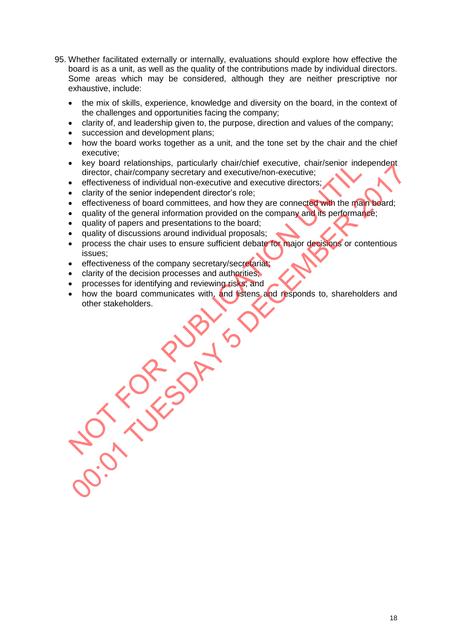- 95. Whether facilitated externally or internally, evaluations should explore how effective the board is as a unit, as well as the quality of the contributions made by individual directors. Some areas which may be considered, although they are neither prescriptive nor exhaustive, include:
	- the mix of skills, experience, knowledge and diversity on the board, in the context of the challenges and opportunities facing the company;
	- clarity of, and leadership given to, the purpose, direction and values of the company;
	- succession and development plans;
	- how the board works together as a unit, and the tone set by the chair and the chief executive;
	- key board relationships, particularly chair/chief executive, chair/senior independent director, chair/company secretary and executive/non-executive;
	- effectiveness of individual non-executive and executive directors;
	- clarity of the senior independent director's role;
	- effectiveness of board committees, and how they are connected with the main board;
	- quality of the general information provided on the company and its performance;
	- quality of papers and presentations to the board;
	- quality of discussions around individual proposals;
	- process the chair uses to ensure sufficient debate for major decisions or contentious issues;
	- effectiveness of the company secretary/secretariat;
	- clarity of the decision processes and authorities;
	- processes for identifying and reviewing risks; and
	- how the board communicates with, and listens and responds to, shareholders and other stakeholders.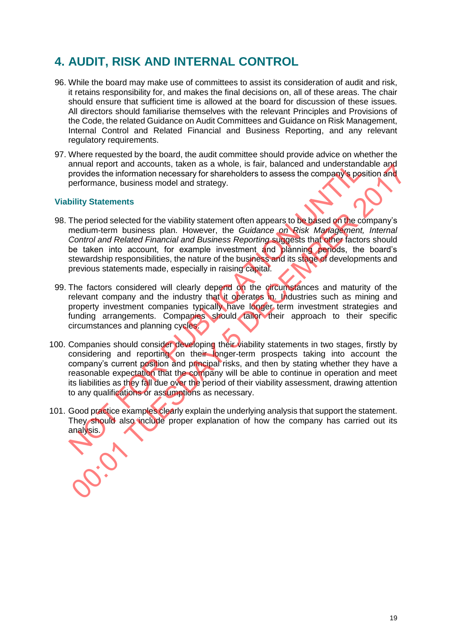## **4. AUDIT, RISK AND INTERNAL CONTROL**

- 96. While the board may make use of committees to assist its consideration of audit and risk, it retains responsibility for, and makes the final decisions on, all of these areas. The chair should ensure that sufficient time is allowed at the board for discussion of these issues. All directors should familiarise themselves with the relevant Principles and Provisions of the Code, the related Guidance on Audit Committees and Guidance on Risk Management, Internal Control and Related Financial and Business Reporting, and any relevant regulatory requirements.
- 97. Where requested by the board, the audit committee should provide advice on whether the annual report and accounts, taken as a whole, is fair, balanced and understandable and provides the information necessary for shareholders to assess the company's position and performance, business model and strategy.

## **Viability Statements**

- 98. The period selected for the viability statement often appears to be based on the company's medium-term business plan. However, the *Guidance on Risk Management, Internal Control and Related Financial and Business Reporting* suggests that other factors should be taken into account, for example investment and planning periods, the board's stewardship responsibilities, the nature of the business and its stage of developments and previous statements made, especially in raising capital.
- 99. The factors considered will clearly depend on the circumstances and maturity of the relevant company and the industry that it operates in. Industries such as mining and property investment companies typically have longer term investment strategies and funding arrangements. Companies should tailor their approach to their specific circumstances and planning cycles.
- 100. Companies should consider developing their viability statements in two stages, firstly by considering and reporting on their longer-term prospects taking into account the company's current position and principal risks, and then by stating whether they have a reasonable expectation that the company will be able to continue in operation and meet its liabilities as they fall due over the period of their viability assessment, drawing attention to any qualifications or assumptions as necessary.
- 101. Good practice examples clearly explain the underlying analysis that support the statement. They should also include proper explanation of how the company has carried out its analysis.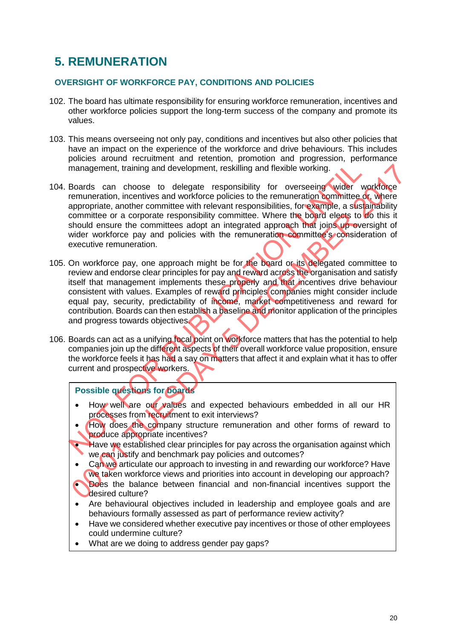# **5. REMUNERATION**

## **OVERSIGHT OF WORKFORCE PAY, CONDITIONS AND POLICIES**

- 102. The board has ultimate responsibility for ensuring workforce remuneration, incentives and other workforce policies support the long-term success of the company and promote its values.
- 103. This means overseeing not only pay, conditions and incentives but also other policies that have an impact on the experience of the workforce and drive behaviours. This includes policies around recruitment and retention, promotion and progression, performance management, training and development, reskilling and flexible working.
- 104. Boards can choose to delegate responsibility for overseeing wider workforce remuneration, incentives and workforce policies to the remuneration committee or, where appropriate, another committee with relevant responsibilities, for example, a sustainability committee or a corporate responsibility committee. Where the board elects to do this it should ensure the committees adopt an integrated approach that joins up oversight of wider workforce pay and policies with the remuneration committee's consideration of executive remuneration.
- 105. On workforce pay, one approach might be for the board or its delegated committee to review and endorse clear principles for pay and reward across the organisation and satisfy itself that management implements these properly and that incentives drive behaviour consistent with values. Examples of reward principles companies might consider include equal pay, security, predictability of income, market competitiveness and reward for contribution. Boards can then establish a baseline and monitor application of the principles and progress towards objectives.
- 106. Boards can act as a unifying focal point on workforce matters that has the potential to help companies join up the different aspects of their overall workforce value proposition, ensure the workforce feels it has had a say on matters that affect it and explain what it has to offer current and prospective workers.

## **Possible questions for boards**

- How well are our values and expected behaviours embedded in all our HR processes from recruitment to exit interviews?
- How does the company structure remuneration and other forms of reward to produce appropriate incentives?
- Have we established clear principles for pay across the organisation against which we can justify and benchmark pay policies and outcomes?
- Can we articulate our approach to investing in and rewarding our workforce? Have we taken workforce views and priorities into account in developing our approach?
- Does the balance between financial and non-financial incentives support the desired culture?
- Are behavioural objectives included in leadership and employee goals and are behaviours formally assessed as part of performance review activity?
- Have we considered whether executive pay incentives or those of other employees could undermine culture?
- What are we doing to address gender pay gaps?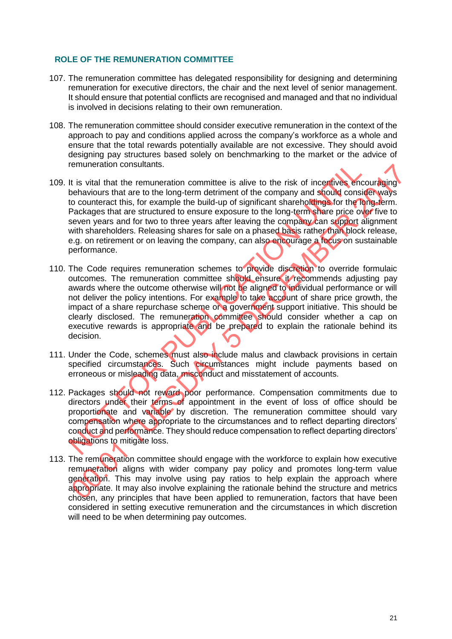## **ROLE OF THE REMUNERATION COMMITTEE**

- 107. The remuneration committee has delegated responsibility for designing and determining remuneration for executive directors, the chair and the next level of senior management. It should ensure that potential conflicts are recognised and managed and that no individual is involved in decisions relating to their own remuneration.
- 108. The remuneration committee should consider executive remuneration in the context of the approach to pay and conditions applied across the company's workforce as a whole and ensure that the total rewards potentially available are not excessive. They should avoid designing pay structures based solely on benchmarking to the market or the advice of remuneration consultants.
- 109. It is vital that the remuneration committee is alive to the risk of incentives encouraging behaviours that are to the long-term detriment of the company and should consider ways to counteract this, for example the build-up of significant shareholdings for the long-term. Packages that are structured to ensure exposure to the long-term share price over five to seven years and for two to three years after leaving the company can support alignment with shareholders. Releasing shares for sale on a phased basis rather than block release, e.g. on retirement or on leaving the company, can also encourage a focus on sustainable performance.
- 110. The Code requires remuneration schemes to provide discretion to override formulaic outcomes. The remuneration committee should ensure it recommends adjusting pay awards where the outcome otherwise will not be aligned to individual performance or will not deliver the policy intentions. For example to take account of share price growth, the impact of a share repurchase scheme or a government support initiative. This should be clearly disclosed. The remuneration committee should consider whether a cap on executive rewards is appropriate and be prepared to explain the rationale behind its decision.
- 111. Under the Code, schemes must also include malus and clawback provisions in certain specified circumstances. Such circumstances might include payments based on erroneous or misleading data, misconduct and misstatement of accounts.
- 112. Packages should not reward poor performance. Compensation commitments due to directors under their terms of appointment in the event of loss of office should be proportionate and variable by discretion. The remuneration committee should vary compensation where appropriate to the circumstances and to reflect departing directors' conduct and performance. They should reduce compensation to reflect departing directors' obligations to mitigate loss.
- 113. The remuneration committee should engage with the workforce to explain how executive remuneration aligns with wider company pay policy and promotes long-term value generation. This may involve using pay ratios to help explain the approach where appropriate. It may also involve explaining the rationale behind the structure and metrics chosen, any principles that have been applied to remuneration, factors that have been considered in setting executive remuneration and the circumstances in which discretion will need to be when determining pay outcomes.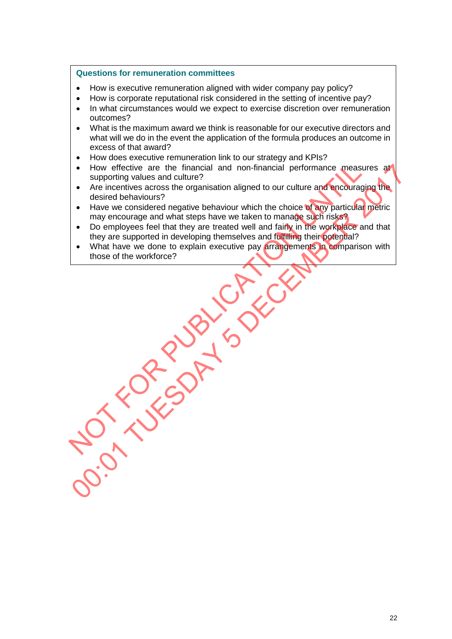## **Questions for remuneration committees**

- How is executive remuneration aligned with wider company pay policy?
- How is corporate reputational risk considered in the setting of incentive pay?
- In what circumstances would we expect to exercise discretion over remuneration outcomes?
- What is the maximum award we think is reasonable for our executive directors and what will we do in the event the application of the formula produces an outcome in excess of that award?
- How does executive remuneration link to our strategy and KPIs?
- How effective are the financial and non-financial performance measures at supporting values and culture?
- Are incentives across the organisation aligned to our culture and encouraging the desired behaviours?
- Have we considered negative behaviour which the choice of any particular metric may encourage and what steps have we taken to manage such risks?
- Do employees feel that they are treated well and fairly in the workplace and that they are supported in developing themselves and fulfilling their potential?
- What have we done to explain executive pay arrangements in comparison with those of the workforce?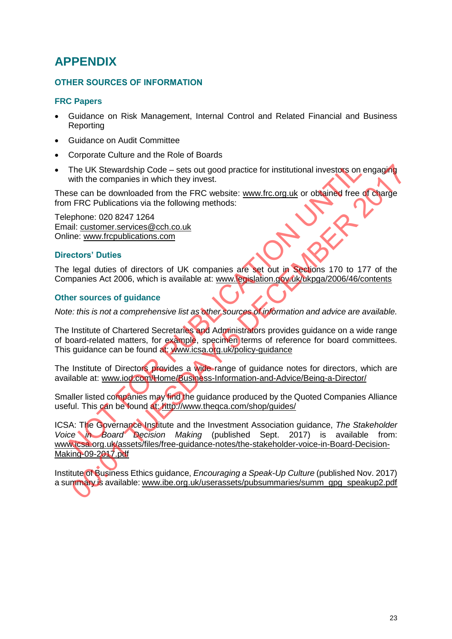## **APPENDIX**

## **OTHER SOURCES OF INFORMATION**

## **FRC Papers**

- Guidance on Risk Management, Internal Control and Related Financial and Business Reporting
- Guidance on Audit Committee
- Corporate Culture and the Role of Boards
- The UK Stewardship Code sets out good practice for institutional investors on engaging with the companies in which they invest.

These can be downloaded from the FRC website: [www.frc.org.uk](http://www.frc.org.uk/) or obtained free of charge from FRC Publications via the following methods:

Telephone: 020 8247 1264 Email: [customer.services@cch.co.uk](mailto:customer.services@cch.co.uk) Online: [www.frcpublications.com](http://www.frcpublications.com/)

## **Directors' Duties**

The legal duties of directors of UK companies are set out in Sections 170 to 177 of the Companies Act 2006, which is available at: [www.legislation.gov.uk/ukpga/2006/46/contents](http://www.legislation.gov.uk/ukpga/2006/46/contents)

### **Other sources of guidance**

*Note: this is not a comprehensive list as other sources of information and advice are available.* 

The Institute of Chartered Secretaries and Administrators provides guidance on a wide range of board-related matters, for example, specimen terms of reference for board committees. This guidance can be found at: [www.icsa.org.uk/policy-guidance](http://www.icsa.org.uk/policy-guidance)

The Institute of Directors provides a wide range of guidance notes for directors, which are available at: [www.iod.com/Home/Business-Information-and-Advice/Being-a-Director/](http://www.iod.com/Home/Business-Information-and-Advice/Being-a-Director/)

Smaller listed companies may find the guidance produced by the Quoted Companies Alliance useful. This can be found at:<http://www.theqca.com/shop/guides/>

ICSA: The Governance Institute and the Investment Association guidance, *The Stakeholder Voice in Board Decision Making* (published Sept. 2017) is available from: [www.icsa.org.uk/assets/files/free-guidance-notes/the-stakeholder-voice-in-Board-Decision-](http://www.icsa.org.uk/assets/files/free-guidance-notes/the-stakeholder-voice-in-Board-Decision-Making-09-2017.pdf)[Making-09-2017.pdf](http://www.icsa.org.uk/assets/files/free-guidance-notes/the-stakeholder-voice-in-Board-Decision-Making-09-2017.pdf)

Institute of Business Ethics guidance, *Encouraging a Speak-Up Culture* (published Nov. 2017) a summary is available: [www.ibe.org.uk/userassets/pubsummaries/summ\\_gpg\\_speakup2.pdf](http://www.ibe.org.uk/userassets/pubsummaries/summ_gpg_speakup2.pdf)